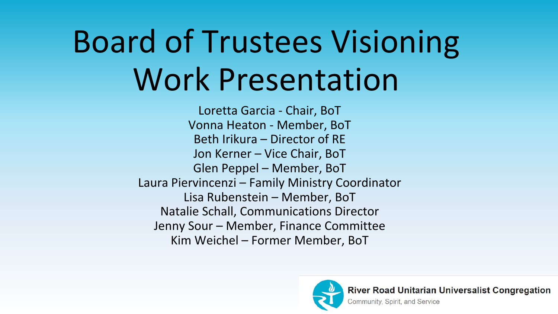# Board of Trustees Visioning Work Presentation

Loretta Garcia - Chair, BoT Vonna Heaton - Member, BoT Beth Irikura – Director of RE Jon Kerner – Vice Chair, BoT Glen Peppel – Member, BoT Laura Piervincenzi – Family Ministry Coordinator Lisa Rubenstein – Member, BoT Natalie Schall, Communications Director Jenny Sour – Member, Finance Committee Kim Weichel – Former Member, BoT

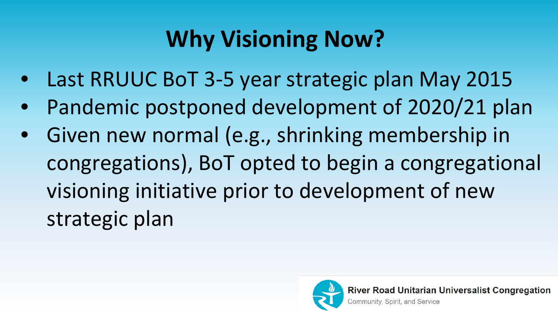# **Why Visioning Now?**

- Last RRUUC BoT 3-5 year strategic plan May 2015
- Pandemic postponed development of 2020/21 plan
- Given new normal (e.g., shrinking membership in congregations), BoT opted to begin a congregational visioning initiative prior to development of new strategic plan

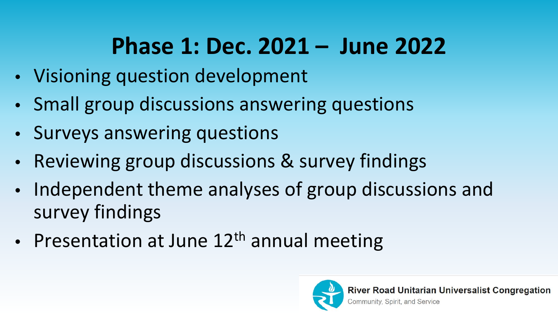# **Phase 1: Dec. 2021 – June 2022**

- Visioning question development
- Small group discussions answering questions
- Surveys answering questions
- Reviewing group discussions & survey findings
- Independent theme analyses of group discussions and survey findings
- Presentation at June  $12<sup>th</sup>$  annual meeting

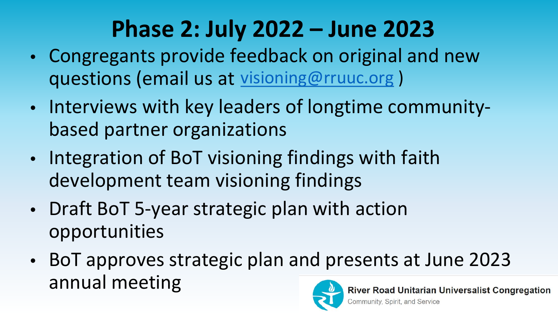# **Phase 2: July 2022 – June 2023**

- Congregants provide feedback on original and new questions (email us at [visioning@rruuc.org](mailto:visioning@rruuc.org))
- Interviews with key leaders of longtime communitybased partner organizations
- Integration of BoT visioning findings with faith development team visioning findings
- Draft BoT 5-year strategic plan with action opportunities
- BoT approves strategic plan and presents at June 2023 annual meeting oad Unitarian Universalist Congregation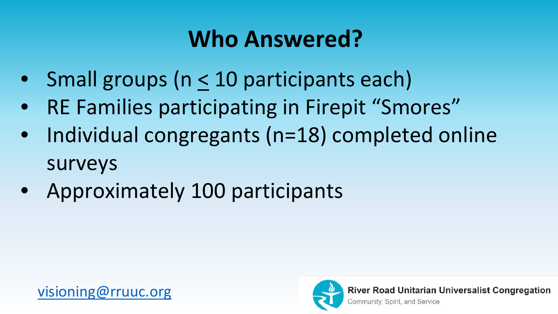## **Who Answered?**

- Small groups (n < 10 participants each)
- RE Families participating in Firepit "Smores"
- Individual congregants (n=18) completed online surveys
- Approximately 100 participants

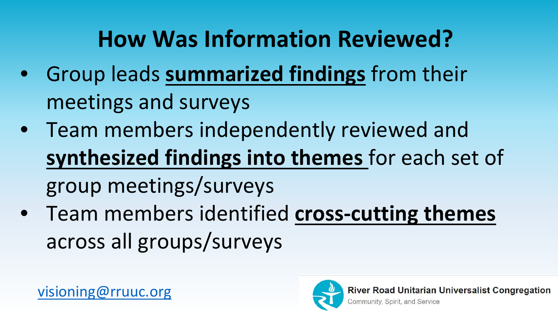# **How Was Information Reviewed?**

- Group leads **summarized findings** from their meetings and surveys
- Team members independently reviewed and **synthesized findings into themes** for each set of group meetings/surveys
- Team members identified **cross-cutting themes** across all groups/surveys

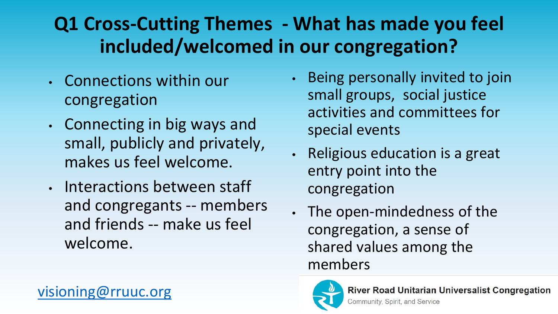### **Q1 Cross-Cutting Themes - What has made you feel included/welcomed in our congregation?**

- Connections within our congregation
- Connecting in big ways and small, publicly and privately, makes us feel welcome.
- Interactions between staff and congregants -- members and friends -- make us feel welcome.

[visioning@rruuc.org](mailto:visioning@rruuc.org)

- Being personally invited to join small groups, social justice activities and committees for special events
- Religious education is a great entry point into the congregation
- The open-mindedness of the congregation, a sense of shared values among the members

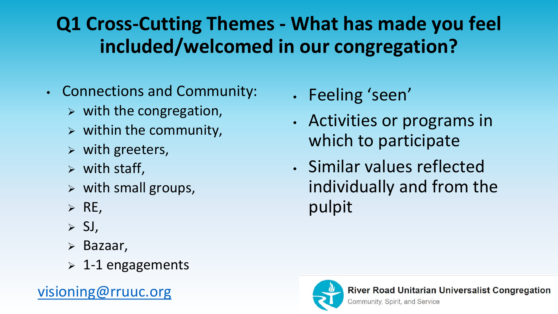### **Q1 Cross-Cutting Themes - What has made you feel included/welcomed in our congregation?**

- Connections and Community:
	- $\triangleright$  with the congregation,
	- $\triangleright$  within the community,
	- $\triangleright$  with greeters,
	- $\triangleright$  with staff,
	- $\triangleright$  with small groups,
	- $\triangleright$  RE,
	- $> SI$ ,
	- Bazaar,
	- $\geq 1$ -1 engagements

#### [visioning@rruuc.org](mailto:visioning@rruuc.org)

• Feeling 'seen'

- Activities or programs in which to participate
- Similar values reflected individually and from the pulpit

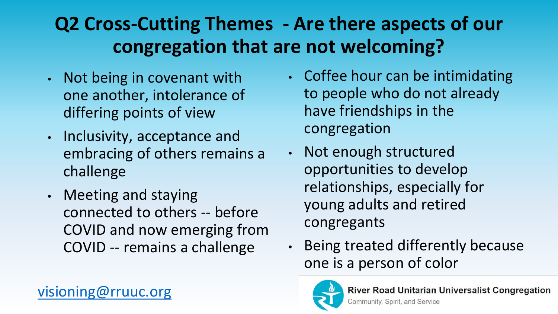### **Q2 Cross-Cutting Themes - Are there aspects of our congregation that are not welcoming?**

- Not being in covenant with one another, intolerance of differing points of view
- Inclusivity, acceptance and embracing of others remains a challenge
- Meeting and staying connected to others -- before COVID and now emerging from COVID -- remains a challenge
- Coffee hour can be intimidating to people who do not already have friendships in the congregation
- Not enough structured opportunities to develop relationships, especially for young adults and retired congregants
- Being treated differently because one is a person of color



#### [visioning@rruuc.org](mailto:visioning@rruuc.org)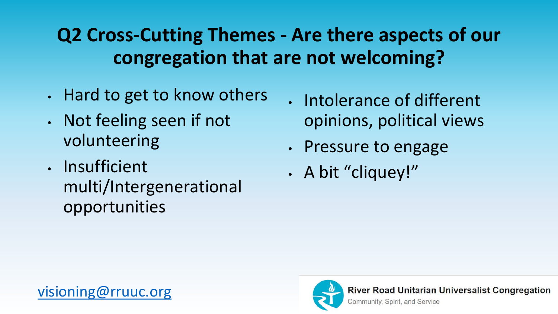### **Q2 Cross-Cutting Themes - Are there aspects of our congregation that are not welcoming?**

- Hard to get to know others
- Not feeling seen if not volunteering
- Insufficient multi/Intergenerational opportunities
- Intolerance of different opinions, political views
- Pressure to engage
- A bit "cliquey!"

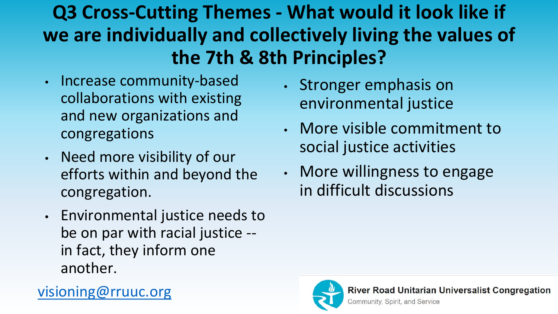**Q3 Cross-Cutting Themes - What would it look like if we are individually and collectively living the values of the 7th & 8th Principles?**

- Increase community-based collaborations with existing and new organizations and congregations
- Need more visibility of our efforts within and beyond the congregation.
- Environmental justice needs to be on par with racial justice - in fact, they inform one another.

[visioning@rruuc.org](mailto:visioning@rruuc.org)

- Stronger emphasis on environmental justice
- More visible commitment to social justice activities
- More willingness to engage in difficult discussions

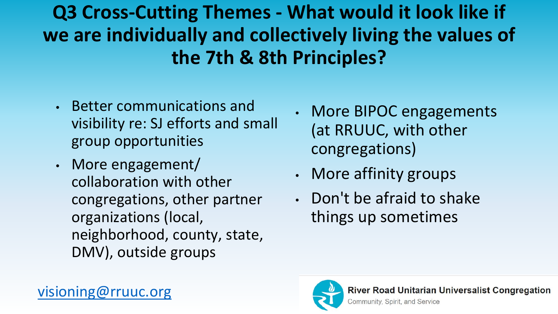**Q3 Cross-Cutting Themes - What would it look like if we are individually and collectively living the values of the 7th & 8th Principles?**

- Better communications and visibility re: SJ efforts and small group opportunities
- More engagement/ collaboration with other congregations, other partner organizations (local, neighborhood, county, state, DMV), outside groups
- More BIPOC engagements (at RRUUC, with other congregations)
- More affinity groups
- Don't be afraid to shake things up sometimes

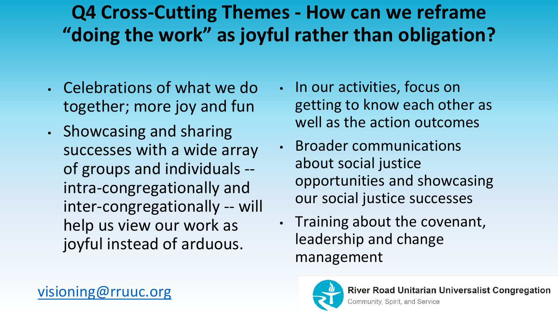### **Q4 Cross-Cutting Themes - How can we reframe "doing the work" as joyful rather than obligation?**

- Celebrations of what we do together; more joy and fun
- Showcasing and sharing successes with a wide array of groups and individuals - intra-congregationally and inter-congregationally -- will help us view our work as joyful instead of arduous.
- In our activities, focus on getting to know each other as well as the action outcomes
- Broader communications about social justice opportunities and showcasing our social justice successes
- Training about the covenant, leadership and change management

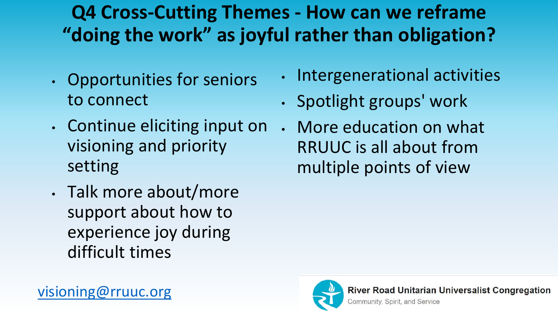### **Q4 Cross-Cutting Themes - How can we reframe "doing the work" as joyful rather than obligation?**

- Opportunities for seniors to connect
- Continue eliciting input on visioning and priority setting
- Talk more about/more support about how to experience joy during difficult times
- Intergenerational activities
- Spotlight groups' work
- More education on what RRUUC is all about from multiple points of view

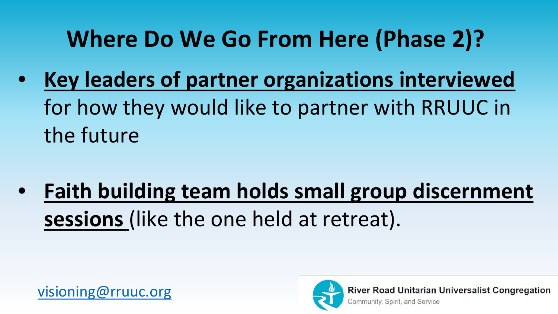# **Where Do We Go From Here (Phase 2)?**

• **Key leaders of partner organizations interviewed**  for how they would like to partner with RRUUC in the future

• **Faith building team holds small group discernment sessions** (like the one held at retreat).



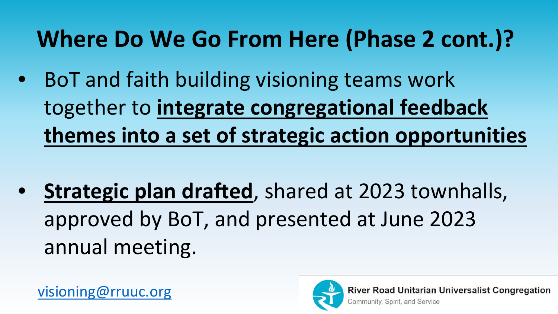# **Where Do We Go From Here (Phase 2 cont.)?**

- BoT and faith building visioning teams work together to **integrate congregational feedback themes into a set of strategic action opportunities**
- **Strategic plan drafted**, shared at 2023 townhalls, approved by BoT, and presented at June 2023 annual meeting.